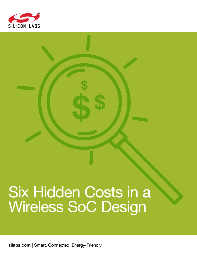

# Six Hidden Costs in a **Wireless SoC Design**

silabs.com | Smart. Connected. Energy-Friendly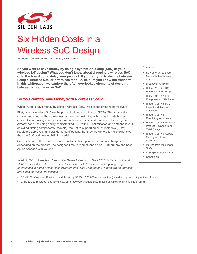

# Six Hidden Costs in a Wireless SoC Design

**Authors: Tom Nordman, Joe Tillison, Nick Dutton**

**So you want to save money by using a system-on-a-chip (SoC) in your wireless IoT design? What you don't know about dropping a wireless SoC onto the board could delay your product. If you're trying to decide between using a wireless SoC or a wireless module, be sure you know the tradeoffs. In this whitepaper, we explore the often overlooked elements of deciding between a module or an SoC.** 

#### **So You Want to Save Money With a Wireless SoC?**

When trying to save money by using a wireless SoC, two options present themselves:

First, using a wireless SoC on the product printed circuit board (PCB). This is typically smaller and cheaper than a wireless module but designing with it may include hidden costs. Second, using a wireless module with an SoC inside. A majority of the design is already done, including a fully-characterized PCB with RF optimization and antenna layout, shielding, timing components (crystals), the SoC's supporting bill of materials (BOM), regulatory approvals, and standards certifications. But they are generally more expensive than the SoC and needed bill of material.

So, which one is the easier and more cost-effective option? The answer changes depending on the product, the designer, time-to-market, and so on. Furthermore, the best option changes with volume.

*In 2019, Silicon Labs launched its first Series 2 Products. The - EFR32xG21xx SoC and xGM210xx module. These are ideal devices for for IoT devices requiring long range connections in home or industrial environments. This whitepaper will compare the benefits and costs for these two devices.* 

#### ▪ BGM210P a Wireless Bluetooth module pricing \$2.99 in 300,000-unit quantities (based on typical pricing at time of print)

▪ EFR32BG21 Bluetooth SoC pricing \$1.11 in 300,000-unit quantities (based on typical pricing at time of print)

#### **Contents**

- So You Want to Save Money With a Wireless SoC?
- **E** Breakeven Analysis
- Hidden Cost #1: RF Engineers and Design
- Hidden Cost #2: Lab Equipment and Facilities
- Hidden Cost #3: PCB Layout and Antenna Selection
- Hidden Cost #4: Regulatory Approvals
- **E** Hidden Cost #5: Reduced Product Revenue from TMM Delays
- **E** Hidden Cost #6: Supply Management and **Assurance**
- Moving from Modules to SoCs
- A Single Source for Both
- Conclusion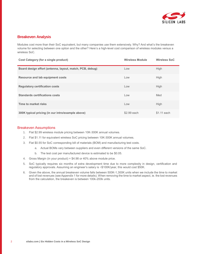

#### **Breakeven Analysis**

Modules cost more than their SoC equivalent, but many companies use them extensively. Why? And what's the breakeven volume for selecting between one option and the other? Here's a high-level cost comparison of wireless modules versus a wireless SoC.

| Cost Category (for a single product)                     | <b>Wireless Module</b> | <b>Wireless SoC</b> |
|----------------------------------------------------------|------------------------|---------------------|
| Board design effort (antenna, layout, match, PCB, debug) | Low                    | High                |
| Resource and lab equipment costs                         | Low                    | High                |
| <b>Regulatory certification costs</b>                    | Low                    | <b>High</b>         |
| <b>Standards certifications costs</b>                    | Low                    | Med                 |
| Time to market risks                                     | Low                    | <b>High</b>         |
| 300K typical pricing (in our intro/example above)        | \$2.99 each            | \$1.11 each         |

#### Breakeven Assumptions

- 1. Flat \$2.99 wireless module pricing between 10K-300K annual volumes.
- 2. Flat \$1.11 for equivalent wireless SoC pricing between 10K-300K annual volumes.
- 3. Flat \$0.55 for SoC corresponding bill of materials (BOM) and manufacturing test costs.
	- a. Actual BOMs vary between suppliers and even different versions of the same SoC.
	- b. The test cost per manufactured device is estimated to be \$0.05.
- 4. Gross Margin (in your product) = \$4.98 or 40% above module price.
- 5. SoC typically requires six months of extra development time due to more complexity in design, certification and regulatory approvals. Assuming an engineer's salary is ~\$100K/year, this would cost \$50K.
- 6. Given the above, the annual breakeven volume falls between 500K-1,300K units when we include the time to market and of lost revenues (see Appendix 1 for more details). When removing the time to market aspect, ie. the lost revenues from the calculation, the breakeven is between 100k-200k units.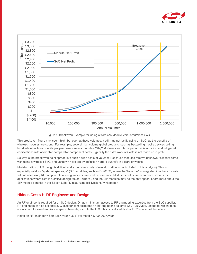





This breakeven figure may seem high, but even at these volumes, it still may not justify using an SoC, as the benefits of wireless modules are strong. For example, several high volume global products, such as bestselling mobile devices selling hundreds of millions of units per year, use wireless modules. Why? Modules can offer superior miniaturization and full global certifications with affordable comparable component costs. Typically the extra work of SoCs is not made up in profit.

So why is the breakeven point spread into such a wide scale of volumes? Because modules remove unknown risks that come with using a wireless SoC, and unknown risks are by definition hard to quantify in dollars or weeks.

Miniaturization of IoT design is difficult and expensive (costs of miniaturization is not included in this analysis). This is especially valid for "system-in-package" (SiP) modules, such as BGM13S, where the "bare die" is integrated into the substrate with all necessary RF components offering superior size and performance. Module benefits are even more obvious for applications where size is a critical design factor – where using the SiP modules may be the only option. Learn more about the SiP module benefits in the Silicon Labs "Miniaturizing IoT Designs" whitepaper.

#### **Hidden Cost #1: RF Engineers and Design**

An RF engineer is required for an SoC design. Or, at a minimum, access to RF engineering expertise from the SoC supplier. RF engineers can be expensive. Glassdoor.com estimates an RF engineer's salary is \$80-125K/year, unloaded, which does not account for overhead (office space, benefits, etc.). In the U.S., this typically adds about 33% on top of the salary.

Hiring an RF engineer = \$80-125K/year + 33% overhead = \$100-200K/year.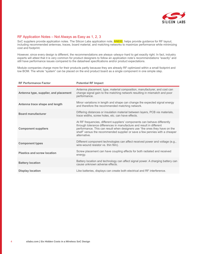

#### RF Application Notes – Not Always as Easy as 1, 2, 3

SoC suppliers provide application notes. The Silicon Labs application note, **AN930**, helps provide guidance for RF layout, including recommended antennas, traces, board material, and matching networks to maximize performance while minimizing cost and footprint.

However, since every design is different, the recommendations are always–*always*–hard to get exactly right. In fact, industry experts will attest that it is very common for product designers to follow an application note's recommendations "exactly" and still have performance issues compared to the datasheet specifications and/or product expectations.

Module companies charge more for their products partly because they are already RF-optimized within a small footprint and low BOM. The whole "system" can be placed on the end product board as a single component in one simple step.

| <b>RF Performance Factor</b>          | <b>Potential RF Impact</b>                                                                                                                                                                                                                                                                                                     |
|---------------------------------------|--------------------------------------------------------------------------------------------------------------------------------------------------------------------------------------------------------------------------------------------------------------------------------------------------------------------------------|
| Antenna type, supplier, and placement | Antenna placement, type, material composition, manufacturer, and cost can<br>change signal gain to the matching network resulting in mismatch and poor<br>performance.                                                                                                                                                         |
| Antenna trace shape and length        | Minor variations in length and shape can change the expected signal energy<br>and therefore the recommended matching network.                                                                                                                                                                                                  |
| <b>Board manufacturer</b>             | Differing distances or insulation material between layers, PCB via materials,<br>trace widths, screw holes, etc. can have effects.                                                                                                                                                                                             |
| <b>Component suppliers</b>            | At RF frequencies, different suppliers' components can behave differently<br>through tolerance differences in manufacture and result in different<br>performance. This can result when designers use "the ones they have on the<br>shelf" versus the recommended supplier or save a few pennies with a cheaper<br>alternative. |
| <b>Component types</b>                | Different component technologies can affect received power and voltage (e.g.,<br>wire-wound resistor vs. thin film).                                                                                                                                                                                                           |
| <b>Plastics and screw location</b>    | Screw placement can have coupling effects for both radiated and received<br>energy.                                                                                                                                                                                                                                            |
| <b>Battery location</b>               | Battery location and technology can affect signal power. A charging battery can<br>cause unknown adverse effects.                                                                                                                                                                                                              |
| <b>Display location</b>               | Like batteries, displays can create both electrical and RF interference.                                                                                                                                                                                                                                                       |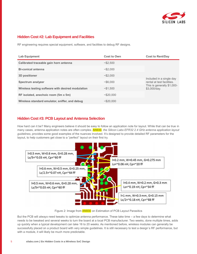

#### **Hidden Cost #2: Lab Equipment and Facilities**

RF engineering requires special equipment, software, and facilities to debug RF designs.

| <b>Lab Equipment</b>                              | <b>Cost to Own</b> | <b>Cost to Rent/Day</b>                                |
|---------------------------------------------------|--------------------|--------------------------------------------------------|
| Calibrated traceable gain horn antenna            | ~1.500             |                                                        |
| <b>Bi-conical antenna</b>                         | ~82.000            |                                                        |
| 3D positioner                                     | ~152.000           |                                                        |
| Spectrum analyzer                                 | ~56.000            | Included in a single day<br>rental at test facilities. |
| Wireless testing software with desired modulation | ~1.500             | This is generally \$1,000-<br>\$3,000/day.             |
| RF isolated, anechoic room (5m x 5m)              | ~1.520.000         |                                                        |
| Wireless standard emulator, sniffer, and debug    | ~1520.000          |                                                        |

#### **Hidden Cost #3: PCB Layout and Antenna Selection**

How hard can it be? Many engineers believe it should be easy to follow an application note for layout. While that can be true in many cases, antenna application notes are often complex. AN930, *the Silicon Labs EFR32 2.4 GHz antenna application layout guidelines*, provides some good examples of the nuances involved. It's designed to provide detailed RF parameters for the layout, to help customers get close to a "perfect" layout on their first try.



Figure 2: Image from AN930 on Estimation of PCB Layout Parasitics

But the PCB will *always* need tweaks to optimize antenna performance. These take time – a few days to determine what needs to be tweaked and several weeks to turn the board at a local PCB manufacturer. Two weeks, done multiple times, adds up quickly when a typical development can take 16 to 20 weeks. As mentioned before, wireless modules can generally be successfully placed on a product board with very simple guidelines. It is still necessary to test a design's RF performance, but with a module, it will likely be much more predictable.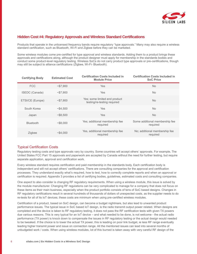

#### **Hidden Cost #4: Regulatory Approvals and Wireless Standard Certifications**

Products that operate in the unlicensed frequency bands require regulatory "type approvals." Many may also require a wireless standard certification, such as Bluetooth, Wi-Fi and Zigbee before they can be marketed.

Some wireless modules come pre-certified for type approval and wireless standards. Adding them to a product brings these approvals and certifications along, although the product designer must apply for membership in the standards bodies and conduct some product-level regulatory testing. Wireless SoCs do not carry product type approvals or pre-certifications, though may still be subject to alliance certifications (Zigbee, Wi-Fi- Bluetooth).

| <b>Certifying Body</b> | <b>Estimated Cost</b> | <b>Certification Costs Included in</b><br><b>Module Price</b> | <b>Certification Costs Included in</b><br><b>SoC Price</b> |
|------------------------|-----------------------|---------------------------------------------------------------|------------------------------------------------------------|
| <b>FCC</b>             | ~157.900              | <b>Yes</b>                                                    | <b>No</b>                                                  |
| ISEDC (Canada)         | ~157.900              | <b>Yes</b>                                                    | No.                                                        |
| ETSI/CE (Europe)       | ~157.900              | Yes; some limited end product<br>testing/re-testing required  | No.                                                        |
| South Korea            | ~1.500                | <b>Yes</b>                                                    | No.                                                        |
| Japan                  | ~1.500                | Yes                                                           | No.                                                        |
| <b>Bluetooth</b>       | $~1.68$ .000          | Yes; additional membership fee<br>required                    | Some additional membership fee<br>required                 |
| Zigbee                 | ~1.000                | Yes, additional membership fee<br>required                    | No; additional membership fee<br>required                  |

#### Typical Certification Costs

Regulatory testing costs and type approvals vary by country. Some countries will accept others' approvals. For example, The United States FCC Part 15 approvals and paperwork are accepted by Canada without the need for further testing, but require separate application, approval and certification work.

Every wireless standard requires certification and paid membership in the standards body. Each certification body is independent and will not accept others' certifications. There are consulting companies for the approval and certification processes. They understand exactly what's required, how to test, how to correctly complete reports and when an approval or certification is required. Appendix 3 provides a list of certifying bodies, guidelines, estimated costs and consulting companies.

One aspect to also consider is changing RF regulatory requirements. When using a wireless module, this issue is solved by the module manufacturer. Changing RF regulations can be very complicated to manage for a company that does not focus on these items as their main business, especially when the product portfolio consists of tens of SoC based designs. Changes in RF regulatory certifications result in several hundreds of thousands of dollars of unexpected costs, as the supplier needs to do re-tests for all of its IoT devices; these costs are minimum when using pre-certified wireless modules.

Certification of a product, based on SoC design, can become a budget nightmare, but also lead to unwanted product performance issues. The typical issue in SoC based IoT design, is the radio transmit output power related. When designs are completed and the device is taken to RF regulatory testing, it does not pass the RF certification tests with given TX powers due various reasons. This is very typical for an IoT device – and what needed to be done, is not welcome - the actual radio performance (TX power) is knock down to compensate the issues in RF regulatory testing or the actual design would needed to be tweaked. If the choice is to lower the actual TX power, this is leading on poor link budget, ie less RF range eventually leading higher transmit power and issue on connection range. All the mentioned issues can lead into several months of unbudgeted work / costs. When using wireless modules, lot of this burned is taken away with very careful RF design of the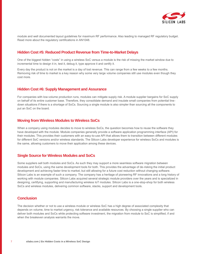

module and well documented layout guidelines for maximum RF performance. Also leading to managed RF regulatory budget. Read more about the regulatory certifications in AN1048.

#### **Hidden Cost #5: Reduced Product Revenue from Time-to-Market Delays**

One of the biggest hidden "costs" in using a wireless SoC versus a module is the risk of missing the market window due to incremental time to design it in, test it, debug it, type approve it and certify it.

Every day the product is not on the market is a day of lost revenue. This can range from a few weeks to a few months. Removing risk of time to market is a key reason why some very large volume companies still use modules even though they cost more.

#### **Hidden Cost #6: Supply Management and Assurance**

For companies with low-volume production runs, modules can mitigate supply risk. A module supplier bargains for SoC supply on behalf of its entire customer base. Therefore, they consolidate demand and insulate small companies from potential linedown situations if there is a shortage of SoCs. Sourcing a single module is also simpler than sourcing all the components to put an SoC on the board.

#### **Moving from Wireless Modules to Wireless SoCs**

When a company using modules decides to move to wireless SoCs, the question becomes how to reuse the software they have developed with the module. Module companies generally provide a software application programming interface (API) for their modules. This provides their customers with an easy-to-use API that allows them to transition between different modules for different SoC versions and/or wireless standards. The Silicon Labs developer experience for wireless SoCs and modules is the same, allowing customers to move their application among these devices.

#### **Single Source for Wireless Modules and SoCs**

Some suppliers sell both modules and SoCs. As such they may support a more seamless software migration between modules and SoCs, using the same development tools for both. This provides the advantage of de-risking the initial product development and achieving faster time to market, but still allowing for a future cost reduction without changing software. Silicon Labs is an example of such a company. The company has a heritage of pioneering RF innovations and a long history of working with module companies. Silicon Labs acquired several strategic module providers over the years and is specialized in designing, certifying, supporting and manufacturing wireless IoT modules. Silicon Labs is a one-stop-shop for both wireless SoCs and wireless modules, delivering common software, stacks, support and development tools.

#### **Conclusion**

The decision whether or not to use a wireless module or wireless SoC has a high degree of associated complexity that depends on volume, time to market urgency, risk tolerance and available resources. By choosing a single supplier who can deliver both modules and SoCs while protecting software investment, the migration from module to SoC is simplified, if and when the breakeven analysis warrants the move.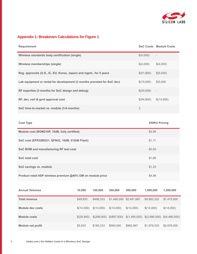

## **Appendix 1: Breakeven Calculations for Figure 1**

| <b>Requirement</b>                                                      |        |         |         |         |            | <b>SoC Costs Module Costs</b> |
|-------------------------------------------------------------------------|--------|---------|---------|---------|------------|-------------------------------|
| Wireless standards body certification (single)                          |        |         |         |         | \$(4,000)  | $\overline{\phantom{a}}$      |
| <b>Wireless memberships (single)</b>                                    |        |         |         |         | \$(4,000)  | \$(4,000)                     |
| Reg. approvals (U.S., IC, EU, Korea, Japan) and mgmt for 5 years        |        |         |         |         | \$(51,800) | \$(5,000)                     |
| Lab equipment or rental for development (3 months prorated for SoC dev) |        |         |         |         | \$(15,000) | \$(5,000                      |
| RF expertise (3 months for SoC design and debug)                        |        |         |         |         | \$(20,000) | $\overline{\phantom{a}}$      |
| RF, dev, cert & govt approval cost                                      |        |         |         |         | \$(94,800) | \$(14,000)                    |
| SoC time-to-market vs. module (3-6 months)                              |        |         |         |         | 3          |                               |
| <b>Cost Type</b>                                                        |        |         |         |         |            | 250KU Pricing                 |
|                                                                         |        |         |         |         |            |                               |
| Module cost (BGM210P, 10dB, fully certified)<br>\$2,99                  |        |         |         |         |            |                               |
| SoC cost (EFR32BG21, QFN32, 10dB, 512kB Flash)                          |        |         |         |         | \$1,11     |                               |
| SoC BOM and manufacturing RF test cost                                  |        |         |         |         | \$0,55     |                               |
| <b>SoC</b> total cost                                                   |        |         |         |         | \$1,66     |                               |
| SoC savings vs. module                                                  |        |         |         |         | \$1,33     |                               |
| Product retail ASP wireless premium @40% GM on module price             |        |         |         | \$4,98  |            |                               |
| <b>Annual Volumes</b>                                                   | 10,000 | 100,000 | 300,000 | 500,000 | 1,000,000  | 1,500,000                     |

| <b>Total revenue</b> | \$49,833   | \$498.333  | \$1.495.000 \$2.491.667 |                                                                        | \$4,983,333 | \$7,475,000 |
|----------------------|------------|------------|-------------------------|------------------------------------------------------------------------|-------------|-------------|
| Module dev costs     | \$(14,000) | \$(14,000) | \$(14,000)              | \$(14,000)                                                             | \$(14,000)  | \$(14,000)  |
| Module costs         | \$(29.900) |            |                         | $$(299,000)$ $$(897,000)$ $$(1,495,000)$ $$(2,990,000)$ $$(4,485,000)$ |             |             |
| Module net profit    | \$5,933    | \$185.333  | \$584,000               | \$982.667                                                              | \$1.979.333 | \$2,976,000 |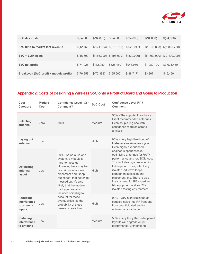

| SoC dev costs                          | \$(94,800) | \$(94,800) | \$(94,800)                | \$(94,800)   | \$(94,800)                    | \$(94,800)  |
|----------------------------------------|------------|------------|---------------------------|--------------|-------------------------------|-------------|
| SoC time-to-market lost revenue        | \$(12,458) |            | $$(124,583)$ $$(373,750)$ | \$(622,917)  | $$(1,245,833)$ $$(1,868,750)$ |             |
| SoC + BOM costs                        | \$(16,600) |            | $$(166,000)$ $$(498,000)$ | \$(830,000)  | $$(1,660,000)$ $$(2,490,000)$ |             |
| SoC net profit                         | \$(74,025) | \$112,950  | \$528,450                 | \$943,950    | \$1,982,700                   | \$3,021,450 |
| Breakeven (SoC profit + module profit) | \$(79,958) | \$(72,383) | \$(55,500)                | \$ (38, 717) | \$3,367                       | \$45,450    |

## **Appendix 2: Costs of Designing a Wireless SoC onto a Product Board and Going to Production**

| Cost<br>Category                                        | <b>Module</b><br>Cost                               | <b>Confidence Level (%)?</b><br>Comment?                                                                                                                                                                                                                               | <b>SoC Cost</b> | Confidence Level (%)?<br><b>Comment</b>                                                                                                                                                                                                                                                                                                                |
|---------------------------------------------------------|-----------------------------------------------------|------------------------------------------------------------------------------------------------------------------------------------------------------------------------------------------------------------------------------------------------------------------------|-----------------|--------------------------------------------------------------------------------------------------------------------------------------------------------------------------------------------------------------------------------------------------------------------------------------------------------------------------------------------------------|
| <b>Selecting</b><br>antenna                             | Zero                                                | 100%                                                                                                                                                                                                                                                                   | Medium          | 50% - The supplier likely has a<br>list of recommended antennas.<br>Even so, picking one with<br>confidence requires careful<br>analysis.                                                                                                                                                                                                              |
| Laying out<br>antenna                                   | $\overline{\phantom{a}}$ l $\overline{\phantom{a}}$ |                                                                                                                                                                                                                                                                        | High            | 90% - Very high likelihood of<br>trial-error-tweak-repeat cycle.<br>Even highly experienced RF                                                                                                                                                                                                                                                         |
| Optimizing<br>antenna<br>layout                         | Low                                                 | 90% - As an all-in-one<br>system, a module is<br>hard to mess up.<br>However, there may be<br>restraints on module<br>placement and "keep-<br>out zones" that could get<br>messed up. It's also<br>likely that the module<br>package probably<br>includes shielding to | High            | engineers spend weeks<br>optimizing antennas for Rx/Tx<br>performance and low BOM cost.<br>This includes rigorous attention<br>to keep-out zones, effectively<br>isolated inductive loops,<br>component selection and<br>placement, etc. There is also<br>likely a need for RF expertise,<br>lab equipment and an RF-<br>isolated testing environment. |
| <b>Reducing</b><br>interference<br>to antenna<br>inputs | Low                                                 | account for these<br>eventualities, so the<br>probability of these<br>issues is really low.                                                                                                                                                                            | High            | 90% - Very high likelihood of<br>coupled noise into RF front end<br>from unanticipated and/or<br>unintentional radiators.                                                                                                                                                                                                                              |
| <b>Reducing</b><br>interference<br>to antenna           | Low                                                 |                                                                                                                                                                                                                                                                        | Medium          | 50% - Very likely that sub-optimal<br>layouts will degrade output<br>performance; unintentional                                                                                                                                                                                                                                                        |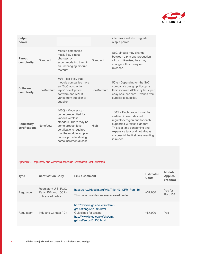

| output<br>power                     |            |                                                                                                                                                                                                                              |            | interferors will also degrade<br>output power.                                                                                                                                                                                                  |
|-------------------------------------|------------|------------------------------------------------------------------------------------------------------------------------------------------------------------------------------------------------------------------------------|------------|-------------------------------------------------------------------------------------------------------------------------------------------------------------------------------------------------------------------------------------------------|
| Pinout<br>complexity                | Standard   | Module companies<br>mask SoC pinout<br>changes by<br>accommodating them in<br>an unchanging module<br>footprint.                                                                                                             | Standard   | SoC pinouts may change<br>between alpha and production<br>silicon. Likewise, they may<br>change with subsequent<br>releases.                                                                                                                    |
| <b>Software</b><br>complexity       | Low/Medium | 50% - It's likely that<br>module companies have<br>an "SoC abstraction<br>layer" development<br>software and API. It<br>varies from supplier to<br>supplier.                                                                 | Low/Medium | 50% - Depending on the SoC<br>company's design philosophy,<br>their software APIs may be super<br>easy or super hard. It varies from<br>supplier to supplier.                                                                                   |
| <b>Regulatory</b><br>certifications | None/Low   | 100% - Modules can<br>come pre-certified for<br>various wireless<br>standard. There may be<br>some product-level<br>certifications required<br>that the module supplier<br>cannot provide, driving<br>some incremental cost. | High       | 100% - Each product must be<br>certified in each desired<br>regulatory region and for each<br>supported wireless standard.<br>This is a time consuming and<br>expensive task and not always<br>successful the first time resulting<br>in re-dos |

#### Appendix 3: Regulatory and Wireless Standards Certification Cost Estimates

| <b>Type</b> | <b>Certification Body</b>                                          | <b>Link / Comment</b>                                                                                                                                     | <b>Estimated</b><br><b>Costs</b> | <b>Module</b><br><b>Applies</b><br>(Yes/No) |
|-------------|--------------------------------------------------------------------|-----------------------------------------------------------------------------------------------------------------------------------------------------------|----------------------------------|---------------------------------------------|
| Regulatory  | Regulatory U.S. FCC,<br>Parts 15B and 15C for<br>unlicensed radios | https://en.wikipedia.org/wiki/Title 47 CFR Part 15<br>This page provides an easy-to-read quide.                                                           | ~57.900                          | Yes for<br>Part 15B                         |
| Regulatory  | Industrie Canada (IC)                                              | http://www.ic.gc.ca/eic/site/smt-<br>gst.nsf/eng/sf01698.html<br>Guidelines for testing:<br>http://www.ic.gc.ca/eic/site/smt-<br>gst.nsf/eng/sf01130.html | ~157.900                         | Yes                                         |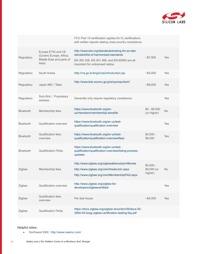

|                  |                                               | FCC Part 15 certification applies for IC certifications<br>with written reports stating cross-country compliance. |                              |            |
|------------------|-----------------------------------------------|-------------------------------------------------------------------------------------------------------------------|------------------------------|------------|
| Regulatory       | Europe ETSI and CE<br>(Covers Europe, Africa, | http://www.etsi.org/standards/looking-for-an-etsi-<br>standard/list-of-harmonised-standards                       | ~157,900                     | <b>Yes</b> |
|                  | Middle East and parts of<br>Asia)             | EN 300 328, EN 301 489, and EN 60950 are all<br>important for unlicensed radios.                                  |                              |            |
| Regulatory       | South Korea                                   | http://rra.go.kr/eng2/cas/introduction.jsp                                                                        | ~54,500                      | <b>Yes</b> |
| Regulatory       | Japan MIC / Telec                             | http://www.tele.soumu.go.jp/e/sys/equ/tech/                                                                       | ~58,600                      | <b>Yes</b> |
| Regulatory       | Sub-GHz / Proprietary<br>wireless             | Generally only require regulatory compliance.                                                                     |                              | <b>Yes</b> |
| Bluetooth        | Membership fees                               | https://www.bluetooth.org/en-<br>us/members/membership-benefits                                                   | $$0 - $8,000$<br>(or higher) | No         |
| <b>Bluetooth</b> | <b>Qualification overview</b>                 | https://www.bluetooth.org/en-us/test-<br>qualification/qualification-overview                                     |                              | <b>Yes</b> |
| <b>Bluetooth</b> | <b>Qualification fees</b><br>overview         | https://www.bluetooth.org/en-us/test-<br>qualification/qualification-overview/fees                                | $$4,000 -$<br>\$8,000        | <b>Yes</b> |
| <b>Bluetooth</b> | <b>Qualification FAQs</b>                     | https://www.bluetooth.org/en-us/test-<br>qualification/qualification-overview/listing-process-<br>updates         |                              |            |
| Zigbee           | Membership fees                               | http://www.zigbee.org/zigbeealliance/join/#levels<br>http://www.zigbee.org/Join/HowtoJoin.aspx                    | $$4,000 -$<br>\$9,000 (or    | <b>No</b>  |
|                  |                                               | http://www.zigbee.org/Join/MembershipFAQ.aspx                                                                     | higher)                      |            |
| Zigbee           | <b>Qualification overview</b>                 | http://www.zigbee.org/zigbee-for-<br>developers/zigbeecertified/                                                  |                              | Yes        |
| Zigbee           | Qualification fees<br>overview                | Per test house                                                                                                    | ~54,000                      | <b>Yes</b> |
| Zigbee           | <b>Qualification FAQs</b>                     | https://docs.zigbee.org/zigbee-docs/dcn/05/docs-05-<br>3594-04-0zqg-zigbee-certification-testing-faq.pdf          |                              |            |

**Helpful sites:**

• Northwest EMC:<http://www.nwemc.com/>